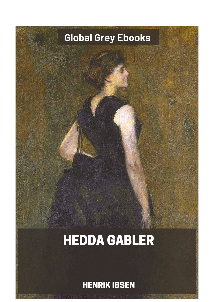## **Global Grey Ebooks**

## **HEDDA GABLER**

**HENRIK IBSEN**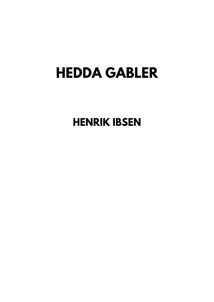## **HEDDA GABLER**

**HENRIK IBSEN**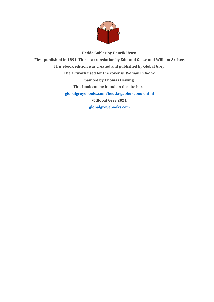

**Hedda Gabler by Henrik Ibsen. First published in 1891. This is a translation by Edmund Gosse and William Archer. This ebook edition was created and published by Global Grey. The artwork used for the cover is '***Woman in Black***' painted by Thomas Dewing. This book can be found on the site here: [globalgreyebooks.com/hedda-gabler-ebook.html](https://www.globalgreyebooks.com/hedda-gabler-ebook.html) ©Global Grey 2021 [globalgreyebooks.com](https://www.globalgreyebooks.com/index.html)**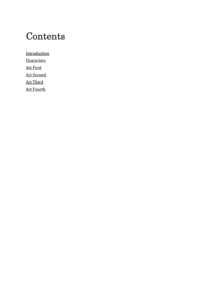## **Contents**

**[Introduction](#page-4-0) [Characters](#page-10-0)** [Act First](#page-11-0) [Act Second](#page-33-0) [Act Third](#page-53-0) [Act Fourth](#page-67-0)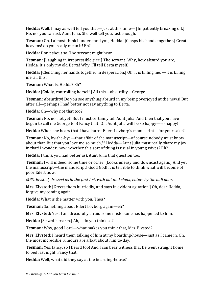**Hedda:** Well, I may as well tell you that—just at this time— [Impatiently breaking off.] No, no; you can ask Aunt Julia. She well tell you, fast enough.

**Tesman:** Oh, I almost think I understand you, Hedda! [Clasps his hands together.] Great heavens! do you really mean it! Eh?

**Hedda:** Don't shout so. The servant might hear.

**Tesman:** [Laughing in irrepressible glee.] The servant! Why, how absurd you are, Hedda. It's only my old Berta! Why, I'll tell Berta myself.

**Hedda:** [Clenching her hands together in desperation.] Oh, it is killing me, —it is killing me, all this!

**Tesman:** What is, Hedda? Eh?

**Hedda:** [Coldly, controlling herself.] All this—absurdity—George.

**Tesman:** Absurdity! Do you see anything absurd in my being overjoyed at the news! But after all—perhaps I had better not say anything to Berta.

**Hedda:** Oh—why not that too?

**Tesman:** No, no, not yet! But I must certainly tell Aunt Julia. And then that you have begun to call me George too! Fancy that! Oh, Aunt Julia will be so happy—so happy!

**Hedda:** When she hears that I have burnt Eilert Lovborg's manuscript—for your sake?

**Tesman:** No, by-the-bye—that affair of the manuscript—of course nobody must know about that. But that you love me so much,[18](#page-70-0) Hedda—Aunt Julia must really share my joy in that! I wonder, now, whether this sort of thing is usual in young wives? Eh?

**Hedda:** I think you had better ask Aunt Julia that question too.

**Tesman:** I will indeed, some time or other. [Looks uneasy and downcast again.] And yet the manuscript—the manuscript! Good God! it is terrible to think what will become of poor Eilert now.

*MRS. Elvsted, dressed as in the first Act, with hat and cloak, enters by the hall door.*

**Mrs. Elvsted:** [Greets them hurriedly, and says in evident agitation.] Oh, dear Hedda, forgive my coming again.

**Hedda:** What is the matter with you, Thea?

**Tesman:** Something about Eilert Lovborg again—eh?

**Mrs. Elvsted:** Yes! I am dreadfully afraid some misfortune has happened to him.

**Hedda:** [Seized her arm.] Ah,—do you think so?

**Tesman:** Why, good Lord—what makes you think that, Mrs. Elvsted?

**Mrs. Elvsted:** I heard them talking of him at my boarding-house—just as I came in. Oh, the most incredible rumours are afloat about him to-day.

**Tesman:** Yes, fancy, so I heard too! And I can bear witness that he went straight home to bed last night. Fancy that!

**Hedda:** Well, what did they say at the boarding-house?

<span id="page-70-0"></span><sup>18</sup> *Literally, "That you burn for me."*